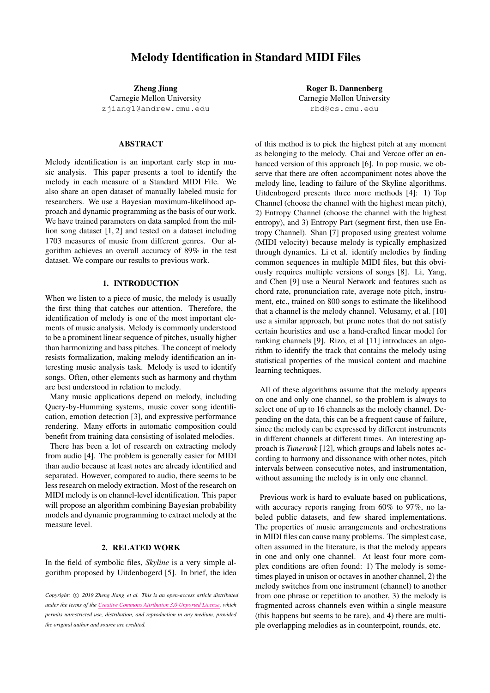# Melody Identification in Standard MIDI Files

Zheng Jiang

Carnegie Mellon University [zjiang1@andrew.cmu.edu](mailto:zjiang1@andrew.cmu.edu)

## ABSTRACT

Melody identification is an important early step in music analysis. This paper presents a tool to identify the melody in each measure of a Standard MIDI File. We also share an open dataset of manually labeled music for researchers. We use a Bayesian maximum-likelihood approach and dynamic programming as the basis of our work. We have trained parameters on data sampled from the million song dataset [\[1,](#page-5-0) [2\]](#page-5-1) and tested on a dataset including 1703 measures of music from different genres. Our algorithm achieves an overall accuracy of 89% in the test dataset. We compare our results to previous work.

## 1. INTRODUCTION

When we listen to a piece of music, the melody is usually the first thing that catches our attention. Therefore, the identification of melody is one of the most important elements of music analysis. Melody is commonly understood to be a prominent linear sequence of pitches, usually higher than harmonizing and bass pitches. The concept of melody resists formalization, making melody identification an interesting music analysis task. Melody is used to identify songs. Often, other elements such as harmony and rhythm are best understood in relation to melody.

Many music applications depend on melody, including Query-by-Humming systems, music cover song identification, emotion detection [\[3\]](#page-5-2), and expressive performance rendering. Many efforts in automatic composition could benefit from training data consisting of isolated melodies.

There has been a lot of research on extracting melody from audio [\[4\]](#page-6-0). The problem is generally easier for MIDI than audio because at least notes are already identified and separated. However, compared to audio, there seems to be less research on melody extraction. Most of the research on MIDI melody is on channel-level identification. This paper will propose an algorithm combining Bayesian probability models and dynamic programming to extract melody at the measure level.

## 2. RELATED WORK

In the field of symbolic files, *Skyline* is a very simple algorithm proposed by Uitdenbogerd [\[5\]](#page-6-1). In brief, the idea

*Copyright:*  $\circ$  2019 *Zheng Jiang et al. This is an open-access article distributed under the terms of the Creative Commons [Attribution](http://creativecommons.org/licenses/by/3.0/) 3.0 Unported License, which permits unrestricted use, distribution, and reproduction in any medium, provided the original author and source are credited.*

Roger B. Dannenberg Carnegie Mellon University [rbd@cs.cmu.edu](mailto:rbd@cs.cmu.edu)

of this method is to pick the highest pitch at any moment as belonging to the melody. Chai and Vercoe offer an en-hanced version of this approach [\[6\]](#page-6-2). In pop music, we observe that there are often accompaniment notes above the melody line, leading to failure of the Skyline algorithms. Uitdenbogerd presents three more methods [\[4\]](#page-6-0): 1) Top Channel (choose the channel with the highest mean pitch), 2) Entropy Channel (choose the channel with the highest entropy), and 3) Entropy Part (segment first, then use Entropy Channel). Shan [\[7\]](#page-6-3) proposed using greatest volume (MIDI velocity) because melody is typically emphasized through dynamics. Li et al. identify melodies by finding common sequences in multiple MIDI files, but this obviously requires multiple versions of songs [\[8\]](#page-6-4). Li, Yang, and Chen [\[9\]](#page-6-5) use a Neural Network and features such as chord rate, pronunciation rate, average note pitch, instrument, etc., trained on 800 songs to estimate the likelihood that a channel is the melody channel. Velusamy, et al. [\[10\]](#page-6-6) use a similar approach, but prune notes that do not satisfy certain heuristics and use a hand-crafted linear model for ranking channels [\[9\]](#page-6-5). Rizo, et al [\[11\]](#page-6-7) introduces an algorithm to identify the track that contains the melody using statistical properties of the musical content and machine learning techniques.

All of these algorithms assume that the melody appears on one and only one channel, so the problem is always to select one of up to 16 channels as the melody channel. Depending on the data, this can be a frequent cause of failure, since the melody can be expressed by different instruments in different channels at different times. An interesting approach is *Tunerank* [\[12\]](#page-6-8), which groups and labels notes according to harmony and dissonance with other notes, pitch intervals between consecutive notes, and instrumentation, without assuming the melody is in only one channel.

Previous work is hard to evaluate based on publications, with accuracy reports ranging from 60% to 97%, no labeled public datasets, and few shared implementations. The properties of music arrangements and orchestrations in MIDI files can cause many problems. The simplest case, often assumed in the literature, is that the melody appears in one and only one channel. At least four more complex conditions are often found: 1) The melody is sometimes played in unison or octaves in another channel, 2) the melody switches from one instrument (channel) to another from one phrase or repetition to another, 3) the melody is fragmented across channels even within a single measure (this happens but seems to be rare), and 4) there are multiple overlapping melodies as in counterpoint, rounds, etc.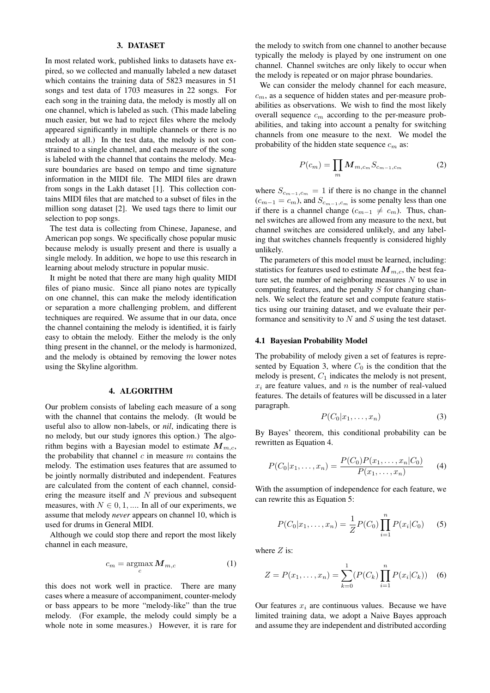### 3. DATASET

In most related work, published links to datasets have expired, so we collected and manually labeled a new dataset which contains the training data of 5823 measures in 51 songs and test data of 1703 measures in 22 songs. For each song in the training data, the melody is mostly all on one channel, which is labeled as such. (This made labeling much easier, but we had to reject files where the melody appeared significantly in multiple channels or there is no melody at all.) In the test data, the melody is not constrained to a single channel, and each measure of the song is labeled with the channel that contains the melody. Measure boundaries are based on tempo and time signature information in the MIDI file. The MIDI files are drawn from songs in the Lakh dataset [\[1\]](#page-5-0). This collection contains MIDI files that are matched to a subset of files in the million song dataset [\[2\]](#page-5-1). We used tags there to limit our selection to pop songs.

The test data is collecting from Chinese, Japanese, and American pop songs. We specifically chose popular music because melody is usually present and there is usually a single melody. In addition, we hope to use this research in learning about melody structure in popular music.

It might be noted that there are many high quality MIDI files of piano music. Since all piano notes are typically on one channel, this can make the melody identification or separation a more challenging problem, and different techniques are required. We assume that in our data, once the channel containing the melody is identified, it is fairly easy to obtain the melody. Either the melody is the only thing present in the channel, or the melody is harmonized, and the melody is obtained by removing the lower notes using the Skyline algorithm.

## 4. ALGORITHM

Our problem consists of labeling each measure of a song with the channel that contains the melody. (It would be useful also to allow non-labels, or *nil*, indicating there is no melody, but our study ignores this option.) The algorithm begins with a Bayesian model to estimate  $M_{m,c}$ , the probability that channel  $c$  in measure  $m$  contains the melody. The estimation uses features that are assumed to be jointly normally distributed and independent. Features are calculated from the content of each channel, considering the measure itself and  $N$  previous and subsequent measures, with  $N \in \{0, 1, \dots\}$  In all of our experiments, we assume that melody *never* appears on channel 10, which is used for drums in General MIDI.

Although we could stop there and report the most likely channel in each measure,

$$
c_m = \operatorname*{argmax}_{c} M_{m,c} \tag{1}
$$

this does not work well in practice. There are many cases where a measure of accompaniment, counter-melody or bass appears to be more "melody-like" than the true melody. (For example, the melody could simply be a whole note in some measures.) However, it is rare for the melody to switch from one channel to another because typically the melody is played by one instrument on one channel. Channel switches are only likely to occur when the melody is repeated or on major phrase boundaries.

We can consider the melody channel for each measure,  $c<sub>m</sub>$ , as a sequence of hidden states and per-measure probabilities as observations. We wish to find the most likely overall sequence  $c_m$  according to the per-measure probabilities, and taking into account a penalty for switching channels from one measure to the next. We model the probability of the hidden state sequence  $c_m$  as:

$$
P(c_m) = \prod_m \boldsymbol{M}_{m,c_m} S_{c_{m-1},c_m} \tag{2}
$$

where  $S_{c_{m-1},c_m} = 1$  if there is no change in the channel  $(c_{m-1} = c_m)$ , and  $S_{c_{m-1},c_m}$  is some penalty less than one if there is a channel change  $(c_{m-1} \neq c_m)$ . Thus, channel switches are allowed from any measure to the next, but channel switches are considered unlikely, and any labeling that switches channels frequently is considered highly unlikely.

The parameters of this model must be learned, including: statistics for features used to estimate  $M_{m,c}$ , the best feature set, the number of neighboring measures  $N$  to use in computing features, and the penalty  $S$  for changing channels. We select the feature set and compute feature statistics using our training dataset, and we evaluate their performance and sensitivity to  $N$  and  $S$  using the test dataset.

#### 4.1 Bayesian Probability Model

The probability of melody given a set of features is repre-sented by Equation [3,](#page-1-0) where  $C_0$  is the condition that the melody is present,  $C_1$  indicates the melody is not present,  $x_i$  are feature values, and n is the number of real-valued features. The details of features will be discussed in a later paragraph.

<span id="page-1-0"></span>
$$
P(C_0|x_1,\ldots,x_n) \tag{3}
$$

By Bayes' theorem, this conditional probability can be rewritten as Equation [4.](#page-1-1)

<span id="page-1-1"></span>
$$
P(C_0|x_1,\ldots,x_n) = \frac{P(C_0)P(x_1,\ldots,x_n|C_0)}{P(x_1,\ldots,x_n)}\qquad(4)
$$

With the assumption of independence for each feature, we can rewrite this as Equation [5:](#page-1-2)

<span id="page-1-2"></span>
$$
P(C_0|x_1,\ldots,x_n) = \frac{1}{Z}P(C_0)\prod_{i=1}^n P(x_i|C_0)
$$
 (5)

where  $Z$  is:

$$
Z = P(x_1, ..., x_n) = \sum_{k=0}^{1} (P(C_k) \prod_{i=1}^{n} P(x_i | C_k))
$$
 (6)

Our features  $x_i$  are continuous values. Because we have limited training data, we adopt a Naive Bayes approach and assume they are independent and distributed according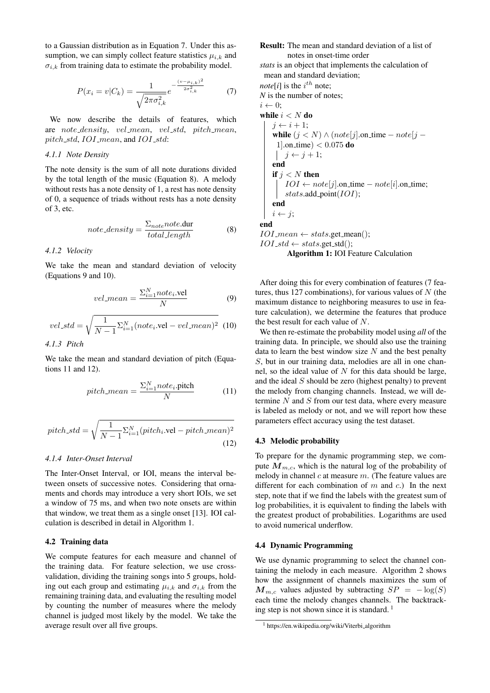to a Gaussian distribution as in Equation [7.](#page-2-0) Under this assumption, we can simply collect feature statistics  $\mu_{i,k}$  and  $\sigma_{i,k}$  from training data to estimate the probability model.

<span id="page-2-0"></span>
$$
P(x_i = v | C_k) = \frac{1}{\sqrt{2\pi\sigma_{i,k}^2}} e^{-\frac{(v - \mu_{i,k})^2}{2\sigma_{i,k}^2}}
$$
(7)

We now describe the details of features, which are note\_density, vel\_mean, vel\_std, pitch\_mean, pitch\_std, IOI\_mean, and IOI\_std:

### *4.1.1 Note Density*

The note density is the sum of all note durations divided by the total length of the music (Equation [8\)](#page-2-1). A melody without rests has a note density of 1, a rest has note density of 0, a sequence of triads without rests has a note density of 3, etc.

<span id="page-2-1"></span>
$$
note\_density = \frac{\Sigma_{note} note. \text{dur}}{total\_length}
$$
 (8)

#### *4.1.2 Velocity*

We take the mean and standard deviation of velocity (Equations [9](#page-2-2) and [10\)](#page-2-3).

<span id="page-2-2"></span>
$$
vel\_mean = \frac{\sum_{i=1}^{N} note_i.\text{vel}}{N} \tag{9}
$$

<span id="page-2-3"></span>
$$
vel\_std = \sqrt{\frac{1}{N-1} \sum_{i=1}^{N} (note_i.\text{vel} - vel\_mean)^2}
$$
 (10)

*4.1.3 Pitch*

We take the mean and standard deviation of pitch (Equations [11](#page-2-4) and [12\)](#page-2-5).

<span id="page-2-4"></span>
$$
pitch\_mean = \frac{\sum_{i=1}^{N} note_i.\text{pitch}}{N} \tag{11}
$$

<span id="page-2-5"></span>
$$
pitch\_std = \sqrt{\frac{1}{N-1} \sum_{i=1}^{N} (pitch_i.\text{vel} - pitch\_mean)^2}
$$
\n(12)

## *4.1.4 Inter-Onset Interval*

The Inter-Onset Interval, or IOI, means the interval between onsets of successive notes. Considering that ornaments and chords may introduce a very short IOIs, we set a window of 75 ms, and when two note onsets are within that window, we treat them as a single onset [\[13\]](#page-6-9). IOI calculation is described in detail in Algorithm [1.](#page-2-6)

## 4.2 Training data

We compute features for each measure and channel of the training data. For feature selection, we use crossvalidation, dividing the training songs into 5 groups, holding out each group and estimating  $\mu_{i,k}$  and  $\sigma_{i,k}$  from the remaining training data, and evaluating the resulting model by counting the number of measures where the melody channel is judged most likely by the model. We take the average result over all five groups.

Result: The mean and standard deviation of a list of notes in onset-time order

*stats* is an object that implements the calculation of mean and standard deviation;

*note*[*i*] is the  $i^{th}$  note; *N* is the number of notes;  $i \leftarrow 0$ : while  $i < N$  do  $j \leftarrow i + 1;$ while  $(j < N) \land (note[j].\text{on_time} - note[j] -$ 1].on\_time)  $< 0.075$  do  $j \leftarrow j + 1;$ end if  $j < N$  then  $IOI \leftarrow note[j].$ on\_time –  $note[i].$ on\_time; stats.add\_point( $IOI$ ); end  $i \leftarrow i$ ; end  $IOI_mean \leftarrow stats.get_mean();$  $IOI\_std \leftarrow stats.get\_std();$ Algorithm 1: IOI Feature Calculation

<span id="page-2-6"></span>After doing this for every combination of features (7 features, thus 127 combinations), for various values of  $N$  (the maximum distance to neighboring measures to use in feature calculation), we determine the features that produce the best result for each value of N.

We then re-estimate the probability model using *all* of the training data. In principle, we should also use the training data to learn the best window size  $N$  and the best penalty S, but in our training data, melodies are all in one channel, so the ideal value of  $N$  for this data should be large, and the ideal S should be zero (highest penalty) to prevent the melody from changing channels. Instead, we will determine  $N$  and  $S$  from our test data, where every measure is labeled as melody or not, and we will report how these parameters effect accuracy using the test dataset.

#### 4.3 Melodic probability

To prepare for the dynamic programming step, we compute  $M_{m,c}$ , which is the natural log of the probability of melody in channel  $c$  at measure  $m$ . (The feature values are different for each combination of  $m$  and  $c$ .) In the next step, note that if we find the labels with the greatest sum of log probabilities, it is equivalent to finding the labels with the greatest product of probabilities. Logarithms are used to avoid numerical underflow.

## 4.4 Dynamic Programming

We use dynamic programming to select the channel containing the melody in each measure. Algorithm [2](#page-3-0) shows how the assignment of channels maximizes the sum of  $M_{m,c}$  values adjusted by subtracting  $SP = -\log(S)$ each time the melody changes channels. The backtracking step is not shown since it is standard.  $1$ 

<span id="page-2-7"></span><sup>&</sup>lt;sup>1</sup> https://en.wikipedia.org/wiki/Viterbi\_algorithm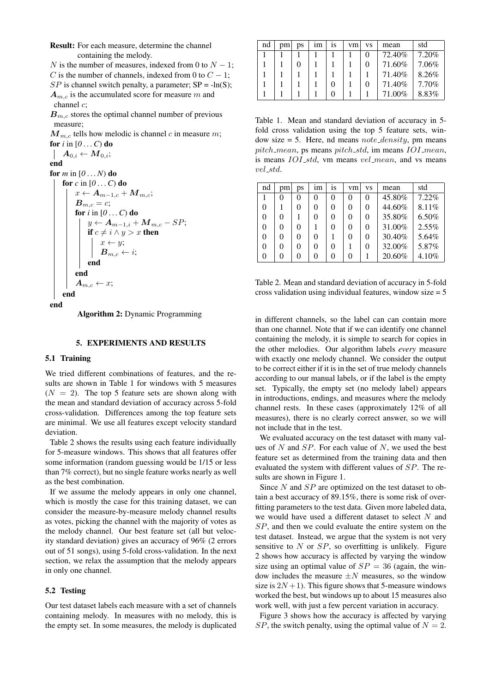Result: For each measure, determine the channel containing the melody.

N is the number of measures, indexed from 0 to  $N - 1$ ; C is the number of channels, indexed from 0 to  $C - 1$ ;  $SP$  is channel switch penalty, a parameter;  $SP = -ln(S)$ ;  $A_{m,c}$  is the accumulated score for measure m and channel c;

 $B_{m,c}$  stores the optimal channel number of previous measure;

 $M_{m,c}$  tells how melodic is channel c in measure m; for  $i$  in  $[0 \dots C)$  do  $\quad \parallel \; A_{0,i} \leftarrow {M}_{0,i};$ 

end

for  $m$  in  $[0...N)$  do

```
for c in [0 \dots C] do
x \leftarrow A_{m-1,c} + M_{m,c};B_{m,c} = c;for i in [0 \dots C) do
     y \leftarrow A_{m-1,i} + M_{m,c} - SP;if c \neq i \wedge y > x then
          x \leftarrow y;
          \boldsymbol{B}_{m,c} \leftarrow i;end
end
A_{m,c} \leftarrow x;end
```

```
end
```
Algorithm 2: Dynamic Programming

## 5. EXPERIMENTS AND RESULTS

## 5.1 Training

We tried different combinations of features, and the results are shown in Table [1](#page-3-1) for windows with 5 measures  $(N = 2)$ . The top 5 feature sets are shown along with the mean and standard deviation of accuracy across 5-fold cross-validation. Differences among the top feature sets are minimal. We use all features except velocity standard deviation.

Table [2](#page-3-2) shows the results using each feature individually for 5-measure windows. This shows that all features offer some information (random guessing would be 1/15 or less than 7% correct), but no single feature works nearly as well as the best combination.

If we assume the melody appears in only one channel, which is mostly the case for this training dataset, we can consider the measure-by-measure melody channel results as votes, picking the channel with the majority of votes as the melody channel. Our best feature set (all but velocity standard deviation) gives an accuracy of 96% (2 errors out of 51 songs), using 5-fold cross-validation. In the next section, we relax the assumption that the melody appears in only one channel.

## 5.2 Testing

Our test dataset labels each measure with a set of channels containing melody. In measures with no melody, this is the empty set. In some measures, the melody is duplicated

<span id="page-3-1"></span>

| nd | pm | ps | 1m | 1S | vm | VS     | mean   | std   |
|----|----|----|----|----|----|--------|--------|-------|
|    |    |    |    |    |    | $_{0}$ | 72.40% | 7.20% |
|    |    |    |    |    |    | 0      | 71.60% | 7.06% |
|    |    |    |    |    |    |        | 71.40% | 8.26% |
|    |    |    |    | 0  |    | 0      | 71.40% | 7.70% |
|    |    |    |    | 0  |    |        | 71.00% | 8.83% |

Table 1. Mean and standard deviation of accuracy in 5 fold cross validation using the top 5 feature sets, window size  $=$  5. Here, nd means *note\_density*, pm means pitch mean, ps means pitch std, im means IOI mean, is means *IOI\_std*, vm means *vel\_mean*, and vs means vel std.

<span id="page-3-2"></span>

| nd | pm       | ps       | 1m | İS | vm           | VS       | mean   | std   |
|----|----------|----------|----|----|--------------|----------|--------|-------|
|    | 0        | 0        | 0  | 0  | 0            | $\theta$ | 45.80% | 7.22% |
| 0  |          | 0        | 0  | 0  | 0            | 0        | 44.60% | 8.11% |
| 0  | $\Omega$ |          | 0  | 0  | $\Omega$     | 0        | 35.80% | 6.50% |
| 0  | $\Omega$ | 0        |    | 0  | $\Omega$     | 0        | 31.00% | 2.55% |
| 0  | $\Omega$ | $\Omega$ | 0  |    | $\theta$     | 0        | 30.40% | 5.64% |
| 0  | 0        | 0        | 0  | 0  |              | 0        | 32.00% | 5.87% |
| 0  | $\Omega$ | 0        | 0  | 0  | $\mathbf{0}$ |          | 20.60% | 4.10% |

Table 2. Mean and standard deviation of accuracy in 5-fold cross validation using individual features, window size = 5

in different channels, so the label can can contain more than one channel. Note that if we can identify one channel containing the melody, it is simple to search for copies in the other melodies. Our algorithm labels *every* measure with exactly one melody channel. We consider the output to be correct either if it is in the set of true melody channels according to our manual labels, or if the label is the empty set. Typically, the empty set (no melody label) appears in introductions, endings, and measures where the melody channel rests. In these cases (approximately 12% of all measures), there is no clearly correct answer, so we will not include that in the test.

We evaluated accuracy on the test dataset with many values of  $N$  and  $SP$ . For each value of  $N$ , we used the best feature set as determined from the training data and then evaluated the system with different values of SP. The results are shown in Figure [1.](#page-4-0)

Since  $N$  and  $SP$  are optimized on the test dataset to obtain a best accuracy of 89.15%, there is some risk of overfitting parameters to the test data. Given more labeled data, we would have used a different dataset to select N and SP, and then we could evaluate the entire system on the test dataset. Instead, we argue that the system is not very sensitive to  $N$  or  $SP$ , so overfitting is unlikely. Figure [2](#page-4-1) shows how accuracy is affected by varying the window size using an optimal value of  $SP = 36$  (again, the window includes the measure  $\pm N$  measures, so the window size is  $2N + 1$ ). This figure shows that 5-measure windows worked the best, but windows up to about 15 measures also work well, with just a few percent variation in accuracy.

Figure [3](#page-4-2) shows how the accuracy is affected by varying SP, the switch penalty, using the optimal value of  $N = 2$ .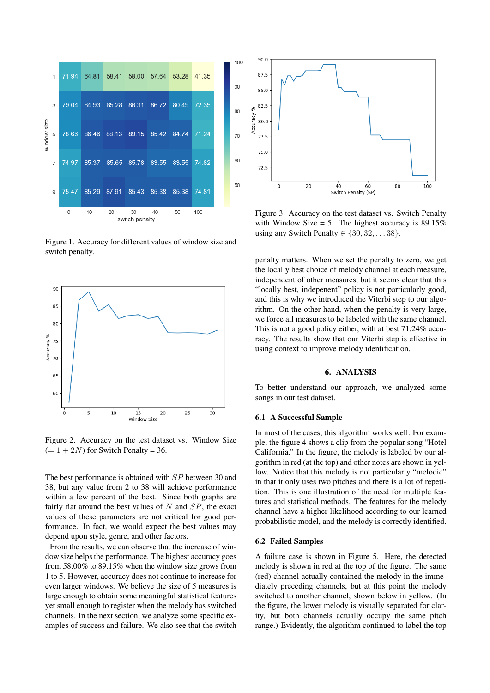<span id="page-4-0"></span>

Figure 1. Accuracy for different values of window size and switch penalty.

<span id="page-4-1"></span>

Figure 2. Accuracy on the test dataset vs. Window Size  $(= 1 + 2N)$  for Switch Penalty = 36.

The best performance is obtained with SP between 30 and 38, but any value from 2 to 38 will achieve performance within a few percent of the best. Since both graphs are fairly flat around the best values of  $N$  and  $SP$ , the exact values of these parameters are not critical for good performance. In fact, we would expect the best values may depend upon style, genre, and other factors.

From the results, we can observe that the increase of window size helps the performance. The highest accuracy goes from 58.00% to 89.15% when the window size grows from 1 to 5. However, accuracy does not continue to increase for even larger windows. We believe the size of 5 measures is large enough to obtain some meaningful statistical features yet small enough to register when the melody has switched channels. In the next section, we analyze some specific examples of success and failure. We also see that the switch

<span id="page-4-2"></span>

Figure 3. Accuracy on the test dataset vs. Switch Penalty with Window Size = 5. The highest accuracy is  $89.15\%$ using any Switch Penalty  $\in \{30, 32, \ldots, 38\}.$ 

penalty matters. When we set the penalty to zero, we get the locally best choice of melody channel at each measure, independent of other measures, but it seems clear that this "locally best, indepenent" policy is not particularly good, and this is why we introduced the Viterbi step to our algorithm. On the other hand, when the penalty is very large, we force all measures to be labeled with the same channel. This is not a good policy either, with at best 71.24% accuracy. The results show that our Viterbi step is effective in using context to improve melody identification.

## 6. ANALYSIS

To better understand our approach, we analyzed some songs in our test dataset.

### 6.1 A Successful Sample

In most of the cases, this algorithm works well. For example, the figure [4](#page-5-3) shows a clip from the popular song "Hotel California." In the figure, the melody is labeled by our algorithm in red (at the top) and other notes are shown in yellow. Notice that this melody is not particularly "melodic" in that it only uses two pitches and there is a lot of repetition. This is one illustration of the need for multiple features and statistical methods. The features for the melody channel have a higher likelihood according to our learned probabilistic model, and the melody is correctly identified.

#### 6.2 Failed Samples

A failure case is shown in Figure [5.](#page-5-4) Here, the detected melody is shown in red at the top of the figure. The same (red) channel actually contained the melody in the immediately preceding channels, but at this point the melody switched to another channel, shown below in yellow. (In the figure, the lower melody is visually separated for clarity, but both channels actually occupy the same pitch range.) Evidently, the algorithm continued to label the top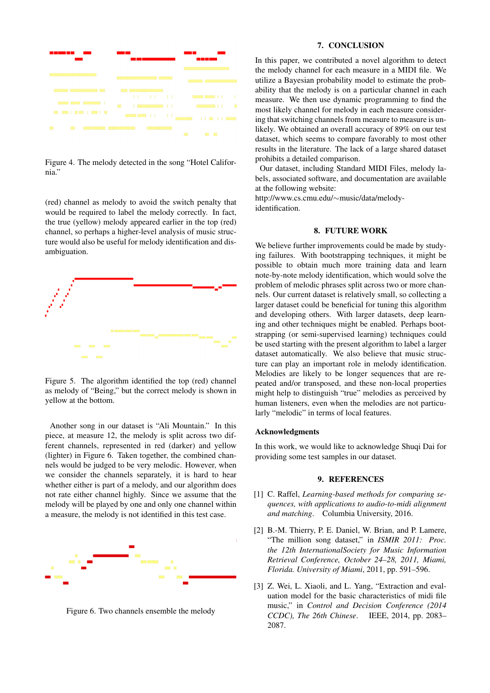<span id="page-5-3"></span>

Figure 4. The melody detected in the song "Hotel California."

(red) channel as melody to avoid the switch penalty that would be required to label the melody correctly. In fact, the true (yellow) melody appeared earlier in the top (red) channel, so perhaps a higher-level analysis of music structure would also be useful for melody identification and disambiguation.

<span id="page-5-4"></span>

Figure 5. The algorithm identified the top (red) channel as melody of "Being," but the correct melody is shown in yellow at the bottom.

Another song in our dataset is "Ali Mountain." In this piece, at measure 12, the melody is split across two different channels, represented in red (darker) and yellow (lighter) in Figure [6.](#page-5-5) Taken together, the combined channels would be judged to be very melodic. However, when we consider the channels separately, it is hard to hear whether either is part of a melody, and our algorithm does not rate either channel highly. Since we assume that the melody will be played by one and only one channel within a measure, the melody is not identified in this test case.

<span id="page-5-5"></span>

Figure 6. Two channels ensemble the melody

### 7. CONCLUSION

In this paper, we contributed a novel algorithm to detect the melody channel for each measure in a MIDI file. We utilize a Bayesian probability model to estimate the probability that the melody is on a particular channel in each measure. We then use dynamic programming to find the most likely channel for melody in each measure considering that switching channels from measure to measure is unlikely. We obtained an overall accuracy of 89% on our test dataset, which seems to compare favorably to most other results in the literature. The lack of a large shared dataset prohibits a detailed comparison.

Our dataset, including Standard MIDI Files, melody labels, associated software, and documentation are available at the following website:

[http://www.cs.cmu.edu/](http://www.cs.cmu.edu/~music/data/melody-identification)∼music/data/melody[identification.](http://www.cs.cmu.edu/~music/data/melody-identification)

## 8. FUTURE WORK

We believe further improvements could be made by studying failures. With bootstrapping techniques, it might be possible to obtain much more training data and learn note-by-note melody identification, which would solve the problem of melodic phrases split across two or more channels. Our current dataset is relatively small, so collecting a larger dataset could be beneficial for tuning this algorithm and developing others. With larger datasets, deep learning and other techniques might be enabled. Perhaps bootstrapping (or semi-supervised learning) techniques could be used starting with the present algorithm to label a larger dataset automatically. We also believe that music structure can play an important role in melody identification. Melodies are likely to be longer sequences that are repeated and/or transposed, and these non-local properties might help to distinguish "true" melodies as perceived by human listeners, even when the melodies are not particularly "melodic" in terms of local features.

### Acknowledgments

In this work, we would like to acknowledge Shuqi Dai for providing some test samples in our dataset.

#### 9. REFERENCES

- <span id="page-5-0"></span>[1] C. Raffel, *Learning-based methods for comparing sequences, with applications to audio-to-midi alignment and matching*. Columbia University, 2016.
- <span id="page-5-1"></span>[2] B.-M. Thierry, P. E. Daniel, W. Brian, and P. Lamere, "The million song dataset," in *ISMIR 2011: Proc. the 12th InternationalSociety for Music Information Retrieval Conference, October 24–28, 2011, Miami, Florida. University of Miami*, 2011, pp. 591–596.
- <span id="page-5-2"></span>[3] Z. Wei, L. Xiaoli, and L. Yang, "Extraction and evaluation model for the basic characteristics of midi file music," in *Control and Decision Conference (2014 CCDC), The 26th Chinese*. IEEE, 2014, pp. 2083– 2087.